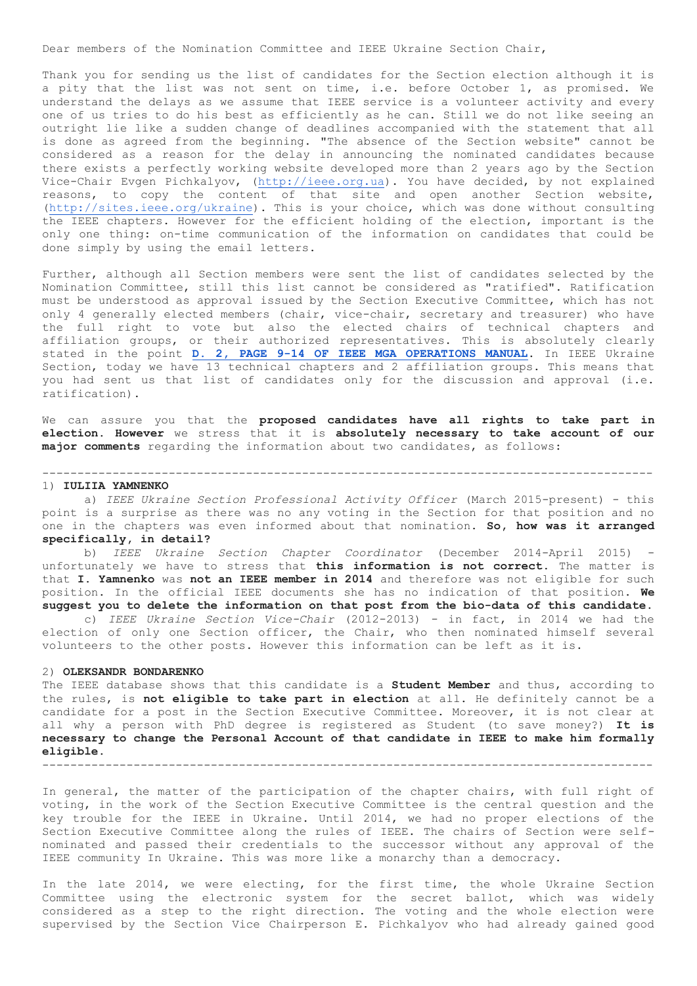Dear members of the Nomination Committee and IEEE Ukraine Section Chair,

Thank you for sending us the list of candidates for the Section election although it is a pity that the list was not sent on time, i.e. before October 1, as promised. We understand the delays as we assume that IEEE service is a volunteer activity and every one of us tries to do his best as efficiently as he can. Still we do not like seeing an outright lie like a sudden change of deadlines accompanied with the statement that all is done as agreed from the beginning. "The absence of the Section website" cannot be considered as a reason for the delay in announcing the nominated candidates because there exists a perfectly working website developed more than 2 years ago by the Section Vice-Chair Evgen Pichkalyov, [\(http://ieee.org.ua\)](http://ieee.org.ua/). You have decided, by not explained reasons, to copy the content of that site and open another Section website, [\(http://sites.ieee.org/ukraine\)](http://sites.ieee.org/ukraine). This is your choice, which was done without consulting the IEEE chapters. However for the efficient holding of the election, important is the only one thing: on-time communication of the information on candidates that could be done simply by using the email letters.

Further, although all Section members were sent the list of candidates selected by the Nomination Committee, still this list cannot be considered as "ratified". Ratification must be understood as approval issued by the Section Executive Committee, which has not only 4 generally elected members (chair, vice-chair, secretary and treasurer) who have the full right to vote but also the elected chairs of technical chapters and affiliation groups, or their authorized representatives. This is absolutely clearly stated in the point **[D. 2, PAGE 9-14 OF IEEE MGA OPERATIONS MANUAL](http://www.ieee.org/documents/section_09_june_2015.pdf)**. In IEEE Ukraine Section, today we have 13 technical chapters and 2 affiliation groups. This means that you had sent us that list of candidates only for the discussion and approval (i.e. ratification).

We can assure you that the **proposed candidates have all rights to take part in election**. **However** we stress that it is **absolutely necessary to take account of our major comments** regarding the information about two candidates, as follows:

---------------------------------------------------------------------------------------

#### 1) **IULIIA YAMNENKO**

 a) *IEEE Ukraine Section Professional Activity Officer* (March 2015-present) - this point is a surprise as there was no any voting in the Section for that position and no one in the chapters was even informed about that nomination. **So, how was it arranged specifically, in detail?**

 b) *IEEE Ukraine Section Chapter Coordinator* (December 2014-April 2015) unfortunately we have to stress that **this information is not correct**. The matter is that **I. Yamnenko** was **not an IEEE member in 2014** and therefore was not eligible for such position. In the official IEEE documents she has no indication of that position. **We suggest you to delete the information on that post from the bio-data of this candidate.** c) *IEEE Ukraine Section Vice-Chair* (2012-2013) - in fact, in 2014 we had the election of only one Section officer, the Chair, who then nominated himself several volunteers to the other posts. However this information can be left as it is.

#### 2) **OLEKSANDR BONDARENKO**

The IEEE database shows that this candidate is a **Student Member** and thus, according to the rules, is **not eligible to take part in election** at all. He definitely cannot be a candidate for a post in the Section Executive Committee. Moreover, it is not clear at all why a person with PhD degree is registered as Student (to save money?) **It is necessary to change the Personal Account of that candidate in IEEE to make him formally eligible.** ---------------------------------------------------------------------------------------

In general, the matter of the participation of the chapter chairs, with full right of voting, in the work of the Section Executive Committee is the central question and the key trouble for the IEEE in Ukraine. Until 2014, we had no proper elections of the Section Executive Committee along the rules of IEEE. The chairs of Section were selfnominated and passed their credentials to the successor without any approval of the IEEE community In Ukraine. This was more like a monarchy than a democracy.

In the late 2014, we were electing, for the first time, the whole Ukraine Section Committee using the electronic system for the secret ballot, which was widely considered as a step to the right direction. The voting and the whole election were supervised by the Section Vice Chairperson E. Pichkalyov who had already gained good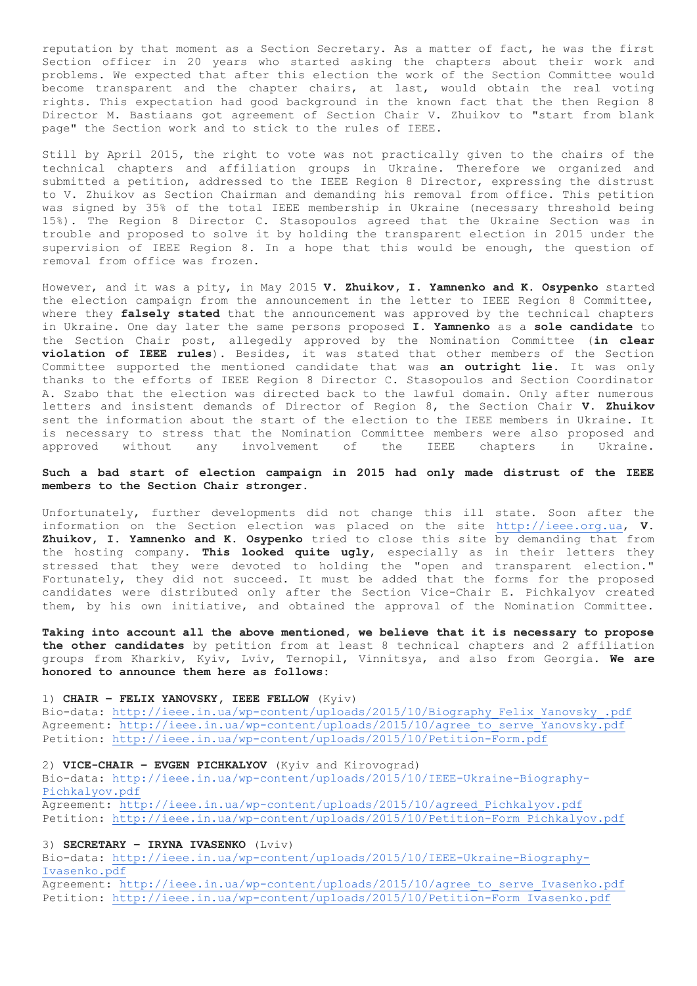reputation by that moment as a Section Secretary. As a matter of fact, he was the first Section officer in 20 years who started asking the chapters about their work and problems. We expected that after this election the work of the Section Committee would become transparent and the chapter chairs, at last, would obtain the real voting rights. This expectation had good background in the known fact that the then Region 8 Director M. Bastiaans got agreement of Section Chair V. Zhuikov to "start from blank page" the Section work and to stick to the rules of IEEE.

Still by April 2015, the right to vote was not practically given to the chairs of the technical chapters and affiliation groups in Ukraine. Therefore we organized and submitted a petition, addressed to the IEEE Region 8 Director, expressing the distrust to V. Zhuikov as Section Chairman and demanding his removal from office. This petition was signed by 35% of the total IEEE membership in Ukraine (necessary threshold being 15%). The Region 8 Director C. Stasopoulos agreed that the Ukraine Section was in trouble and proposed to solve it by holding the transparent election in 2015 under the supervision of IEEE Region 8. In a hope that this would be enough, the question of removal from office was frozen.

However, and it was a pity, in May 2015 **V. Zhuikov, I. Yamnenko and K. Osypenko** started the election campaign from the announcement in the letter to IEEE Region 8 Committee, where they **falsely stated** that the announcement was approved by the technical chapters in Ukraine. One day later the same persons proposed **I. Yamnenko** as a **sole candidate** to the Section Chair post, allegedly approved by the Nomination Committee (**in clear violation of IEEE rules**). Besides, it was stated that other members of the Section Committee supported the mentioned candidate that was **an outright lie**. It was only thanks to the efforts of IEEE Region 8 Director C. Stasopoulos and Section Coordinator A. Szabo that the election was directed back to the lawful domain. Only after numerous letters and insistent demands of Director of Region 8, the Section Chair **V. Zhuikov** sent the information about the start of the election to the IEEE members in Ukraine. It is necessary to stress that the Nomination Committee members were also proposed and approved without any involvement of the IEEE chapters in Ukraine.

# **Such a bad start of election campaign in 2015 had only made distrust of the IEEE members to the Section Chair stronger.**

Unfortunately, further developments did not change this ill state. Soon after the information on the Section election was placed on the site [http://ieee.org.ua,](http://ieee.org.ua/) **V. Zhuikov, I. Yamnenko and K. Osypenko** tried to close this site by demanding that from the hosting company. **This looked quite ugly**, especially as in their letters they stressed that they were devoted to holding the "open and transparent election." Fortunately, they did not succeed. It must be added that the forms for the proposed candidates were distributed only after the Section Vice-Chair E. Pichkalyov created them, by his own initiative, and obtained the approval of the Nomination Committee.

**Taking into account all the above mentioned, we believe that it is necessary to propose the other candidates** by petition from at least 8 technical chapters and 2 affiliation groups from Kharkiv, Kyiv, Lviv, Ternopil, Vinnitsya, and also from Georgia. **We are honored to announce them here as follows:**

# 1) **CHAIR – FELIX YANOVSKY, IEEE FELLOW** (Kyiv)

Bio-data: [http://ieee.in.ua/wp-content/uploads/2015/10/Biography\\_Felix\\_Yanovsky\\_.pdf](http://ieee.in.ua/wp-content/uploads/2015/10/Biography_Felix_Yanovsky_.pdf) Agreement: [http://ieee.in.ua/wp-content/uploads/2015/10/agree\\_to\\_serve\\_Yanovsky.pdf](http://ieee.in.ua/wp-content/uploads/2015/10/agree_to_serve_Yanovsky.pdf) Petition:<http://ieee.in.ua/wp-content/uploads/2015/10/Petition-Form.pdf>

# 2) **VICE-CHAIR – EVGEN PICHKALYOV** (Kyiv and Kirovograd)

Bio-data: [http://ieee.in.ua/wp-content/uploads/2015/10/IEEE-Ukraine-Biography-](http://ieee.in.ua/wp-content/uploads/2015/10/IEEE-Ukraine-Biography-Pichkalyov.pdf)[Pichkalyov.pdf](http://ieee.in.ua/wp-content/uploads/2015/10/IEEE-Ukraine-Biography-Pichkalyov.pdf) Agreement: [http://ieee.in.ua/wp-content/uploads/2015/10/agreed\\_Pichkalyov.pdf](http://ieee.in.ua/wp-content/uploads/2015/10/agreed_Pichkalyov.pdf)

Petition: [http://ieee.in.ua/wp-content/uploads/2015/10/Petition-Form\\_Pichkalyov.pdf](http://ieee.in.ua/wp-content/uploads/2015/10/Petition-Form_Pichkalyov.pdf)

# 3) **SECRETARY – IRYNA IVASENKO** (Lviv)

Bio-data: [http://ieee.in.ua/wp-content/uploads/2015/10/IEEE-Ukraine-Biography-](http://ieee.in.ua/wp-content/uploads/2015/10/IEEE-Ukraine-Biography-Ivasenko.pdf)[Ivasenko.pdf](http://ieee.in.ua/wp-content/uploads/2015/10/IEEE-Ukraine-Biography-Ivasenko.pdf) Agreement: [http://ieee.in.ua/wp-content/uploads/2015/10/agree\\_to\\_serve\\_Ivasenko.pdf](http://ieee.in.ua/wp-content/uploads/2015/10/agree_to_serve_Ivasenko.pdf)

Petition: [http://ieee.in.ua/wp-content/uploads/2015/10/Petition-Form\\_Ivasenko.pdf](http://ieee.in.ua/wp-content/uploads/2015/10/Petition-Form_Ivasenko.pdf)